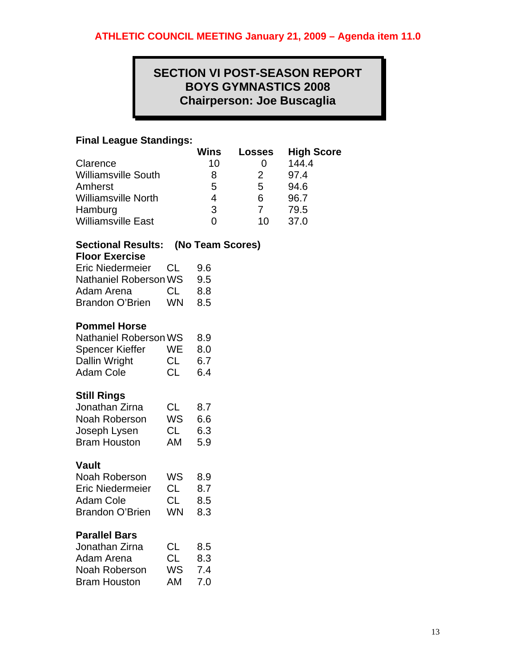# **SECTION VI POST-SEASON REPORT BOYS GYMNASTICS 2008 Chairperson: Joe Buscaglia**

## **Final League Standings:**

|                                                                                                                         |                                           | Wins                                     | Losses                                   | <b>High Score</b>                             |
|-------------------------------------------------------------------------------------------------------------------------|-------------------------------------------|------------------------------------------|------------------------------------------|-----------------------------------------------|
| Clarence<br><b>Williamsville South</b><br>Amherst<br><b>Williamsville North</b><br>Hamburg<br><b>Williamsville East</b> |                                           | 10<br>8<br>5<br>4<br>3<br>$\overline{0}$ | 0<br>2<br>5<br>6<br>$\overline{7}$<br>10 | 144.4<br>97.4<br>94.6<br>96.7<br>79.5<br>37.0 |
| <b>Sectional Results:</b><br><b>Floor Exercise</b>                                                                      |                                           | (No Team Scores)                         |                                          |                                               |
| <b>Eric Niedermeier</b><br>Nathaniel Roberson WS<br>Adam Arena<br><b>Brandon O'Brien</b>                                | <b>CL</b><br><b>CL</b><br><b>WN</b>       | 9.6<br>9.5<br>8.8<br>8.5                 |                                          |                                               |
| <b>Pommel Horse</b><br><b>Nathaniel Roberson WS</b><br>Spencer Kieffer<br>Dallin Wright<br><b>Adam Cole</b>             | <b>WE</b><br><b>CL</b><br><b>CL</b>       | 8.9<br>8.0<br>6.7<br>6.4                 |                                          |                                               |
| <b>Still Rings</b><br>Jonathan Zirna<br>Noah Roberson<br>Joseph Lysen<br><b>Bram Houston</b>                            | <b>CL</b><br>WS<br>CL<br>AM               | 8.7<br>6.6<br>6.3<br>5.9                 |                                          |                                               |
| <b>Vault</b><br>Noah Roberson<br><b>Eric Niedermeier</b><br><b>Adam Cole</b><br><b>Brandon O'Brien</b>                  | WS<br>CL<br>CL<br>WN                      | 8.9<br>8.7<br>8.5<br>8.3                 |                                          |                                               |
| <b>Parallel Bars</b><br>Jonathan Zirna<br>Adam Arena<br>Noah Roberson<br><b>Bram Houston</b>                            | <b>CL</b><br><b>CL</b><br><b>WS</b><br>AM | 8.5<br>8.3<br>7.4<br>7.0                 |                                          |                                               |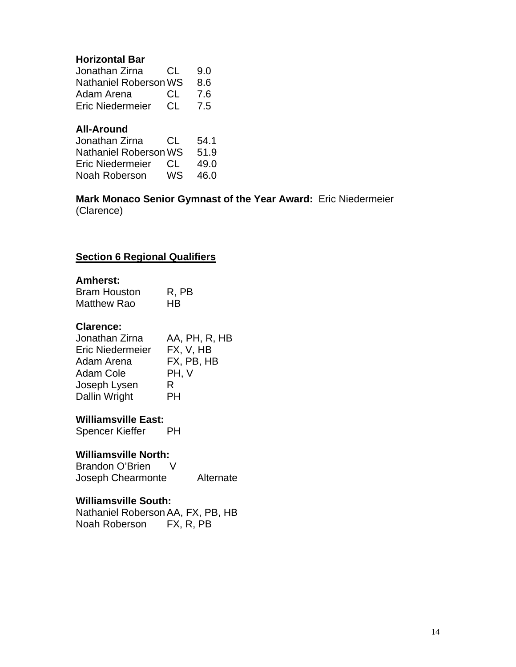## **Horizontal Bar**

| Jonathan Zirna               | CL. | 9.0 |
|------------------------------|-----|-----|
| <b>Nathaniel Roberson WS</b> |     | 8.6 |
| Adam Arena                   | CL. | 7.6 |
| <b>Eric Niedermeier</b>      | CL. | 7.5 |

## **All-Around**

| Jonathan Zirna        | CL. | 54.1 |
|-----------------------|-----|------|
| Nathaniel Roberson WS |     | 51.9 |
| Eric Niedermeier      | CT. | 49.0 |
| Noah Roberson         | WS  | 46.0 |

## **Mark Monaco Senior Gymnast of the Year Award:** Eric Niedermeier (Clarence)

# **Section 6 Regional Qualifiers**

## **Amherst:**

| <b>Bram Houston</b> | R, PB     |
|---------------------|-----------|
| <b>Matthew Rao</b>  | <b>HB</b> |

## **Clarence:**

| Jonathan Zirna          | AA, PH, R, HB |
|-------------------------|---------------|
| <b>Eric Niedermeier</b> | FX, V, HB     |
| Adam Arena              | FX, PB, HB    |
| Adam Cole               | PH, V         |
| Joseph Lysen            | R             |
| Dallin Wright           | PH            |

**Williamsville East:**  Spencer Kieffer

### **Williamsville North:**

Brandon O'Brien V Joseph Chearmonte Alternate

## **Williamsville South:**

Nathaniel Roberson AA, FX, PB, HB<br>Noah Roberson FX, R, PB Noah Roberson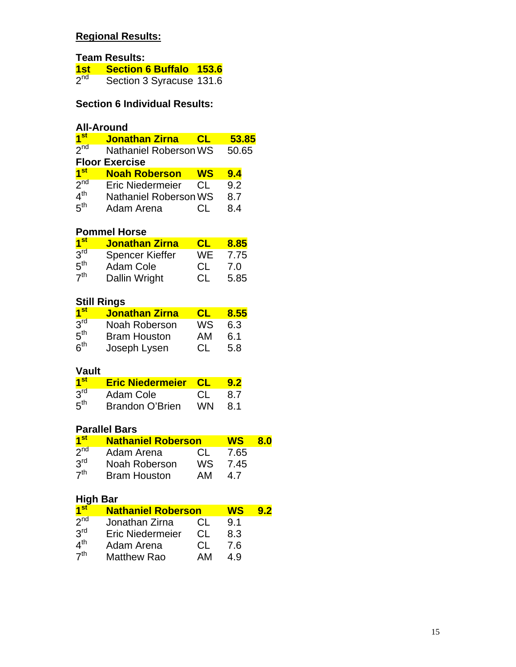# **Regional Results:**

**Team Results:** 

| <u>1st l</u>    | <b>Section 6 Buffalo 153.6</b> |  |
|-----------------|--------------------------------|--|
| 2 <sup>nd</sup> | Section 3 Syracuse 131.6       |  |

# **Section 6 Individual Results:**

# **All-Around**

| <mark>1</mark> st | <b>Jonathan Zirna</b>        | CL  | 53.85 |
|-------------------|------------------------------|-----|-------|
| 2 <sub>nd</sub>   | <b>Nathaniel Roberson WS</b> |     | 50.65 |
|                   | <b>Floor Exercise</b>        |     |       |
| 1 <sup>st</sup>   | <b>Noah Roberson</b>         | WS  | 9.4   |
| 2 <sub>nd</sub>   | <b>Eric Niedermeier</b>      | CL. | 9.2   |
| 4 <sup>th</sup>   | <b>Nathaniel Roberson WS</b> |     | 8.7   |
| 5 <sup>th</sup>   | Adam Arena                   |     | 84    |

# **Pommel Horse**

| 1 <sup>st</sup> | <b>Jonathan Zirna</b>  | CL        | 8.85 |
|-----------------|------------------------|-----------|------|
| 3 <sup>rd</sup> | <b>Spencer Kieffer</b> | WE        | 7.75 |
| 5 <sup>th</sup> | Adam Cole              | <b>CL</b> | 7.0  |
| 7 <sup>th</sup> | Dallin Wright          | CL.       | 5.85 |

# **Still Rings**

| 1 <sup>st</sup> | <b>Jonathan Zirna</b> | CI. | 8.55 |
|-----------------|-----------------------|-----|------|
| 3 <sup>rd</sup> | Noah Roberson         | WS  | 6.3  |
| 5 <sup>th</sup> | <b>Bram Houston</b>   | AM  | 6.1  |
| 6 <sup>th</sup> | Joseph Lysen          | -CL | 5.8  |

# **Vault**

| 1 <sup>st</sup> | <b>Eric Niedermeier CL</b> |     | 9.2  |
|-----------------|----------------------------|-----|------|
| 3 <sup>rd</sup> | Adam Cole                  | CL. | -8.7 |
| 5 <sup>th</sup> | <b>Brandon O'Brien</b>     | WN. | -8.1 |

# **Parallel Bars**

| 1 <sup>st</sup> | <b>Nathaniel Roberson</b> |     | WS   | 8.0 |
|-----------------|---------------------------|-----|------|-----|
| 2 <sub>nd</sub> | Adam Arena                | CL. | 7.65 |     |
| 3 <sup>rd</sup> | Noah Roberson             | WS. | 7.45 |     |
| 7 <sup>th</sup> | <b>Bram Houston</b>       | AМ  | 4.7  |     |

# **High Bar**

| 1 <sup>st</sup> | <b>Nathaniel Roberson</b> |     | WS  | 9.2 |
|-----------------|---------------------------|-----|-----|-----|
| 2 <sub>nd</sub> | Jonathan Zirna            | CL. | 9.1 |     |
| 3 <sup>rd</sup> | <b>Eric Niedermeier</b>   | CL. | 8.3 |     |
| 4 <sup>th</sup> | Adam Arena                | CL. | 7.6 |     |
| 7 <sup>th</sup> | <b>Matthew Rao</b>        | AM  | 49  |     |